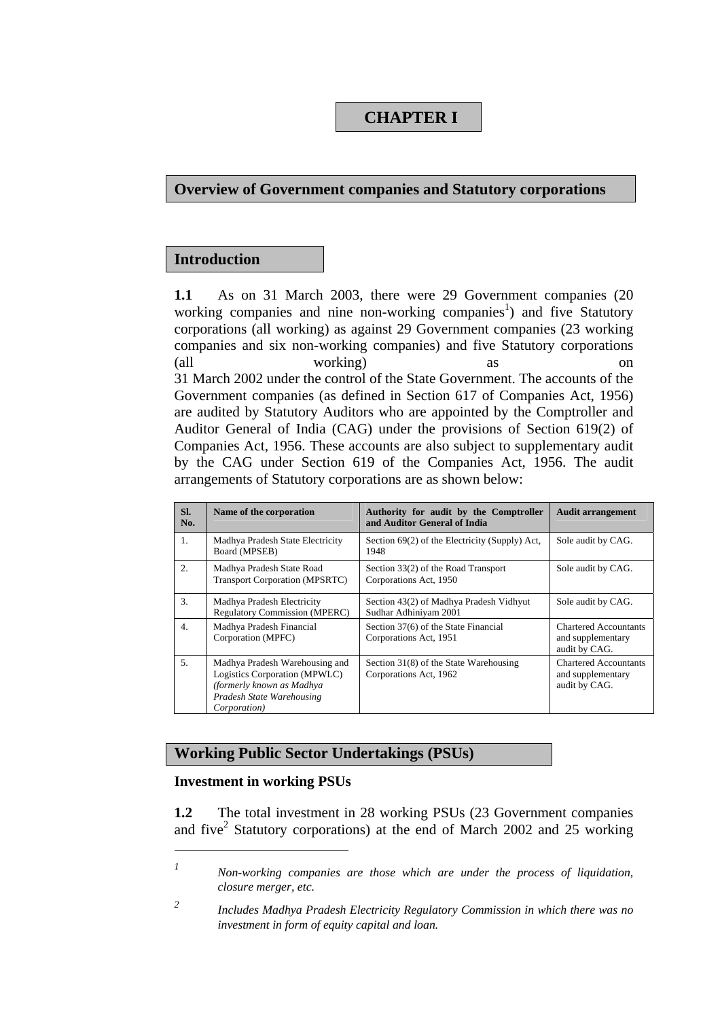### **CHAPTER I**

#### **Overview of Government companies and Statutory corporations**

### **Introduction**

**1.1** As on 31 March 2003, there were 29 Government companies (20 working companies and nine non-working companies<sup>1</sup>) and five Statutory corporations (all working) as against 29 Government companies (23 working companies and six non-working companies) and five Statutory corporations (all working) as on 31 March 2002 under the control of the State Government. The accounts of the Government companies (as defined in Section 617 of Companies Act, 1956) are audited by Statutory Auditors who are appointed by the Comptroller and Auditor General of India (CAG) under the provisions of Section 619(2) of Companies Act, 1956. These accounts are also subject to supplementary audit by the CAG under Section 619 of the Companies Act, 1956. The audit arrangements of Statutory corporations are as shown below:

| SI.<br>No.       | Name of the corporation                                                                                                                           | Authority for audit by the Comptroller<br>and Auditor General of India | <b>Audit arrangement</b>                                           |
|------------------|---------------------------------------------------------------------------------------------------------------------------------------------------|------------------------------------------------------------------------|--------------------------------------------------------------------|
| $\mathbf{1}$ .   | Madhya Pradesh State Electricity<br>Board (MPSEB)                                                                                                 | Section 69(2) of the Electricity (Supply) Act,<br>1948                 | Sole audit by CAG.                                                 |
| 2 <sub>1</sub>   | Madhya Pradesh State Road<br><b>Transport Corporation (MPSRTC)</b>                                                                                | Section 33(2) of the Road Transport<br>Corporations Act, 1950          | Sole audit by CAG.                                                 |
| 3.               | Madhya Pradesh Electricity<br><b>Regulatory Commission (MPERC)</b>                                                                                | Section 43(2) of Madhya Pradesh Vidhyut<br>Sudhar Adhiniyam 2001       | Sole audit by CAG.                                                 |
| $\overline{4}$ . | Madhya Pradesh Financial<br>Corporation (MPFC)                                                                                                    | Section 37(6) of the State Financial<br>Corporations Act, 1951         | <b>Chartered Accountants</b><br>and supplementary<br>audit by CAG. |
| 5.               | Madhya Pradesh Warehousing and<br>Logistics Corporation (MPWLC)<br>(formerly known as Madhya<br>Pradesh State Warehousing<br><i>Corporation</i> ) | Section 31(8) of the State Warehousing<br>Corporations Act, 1962       | <b>Chartered Accountants</b><br>and supplementary<br>audit by CAG. |

#### **Working Public Sector Undertakings (PSUs)**

#### **Investment in working PSUs**

 $\overline{a}$ 

**1.2** The total investment in 28 working PSUs (23 Government companies and five<sup>2</sup> Statutory corporations) at the end of March 2002 and 25 working

*<sup>1</sup> Non-working companies are those which are under the process of liquidation, closure merger, etc.* 

*<sup>2</sup> Includes Madhya Pradesh Electricity Regulatory Commission in which there was no investment in form of equity capital and loan.*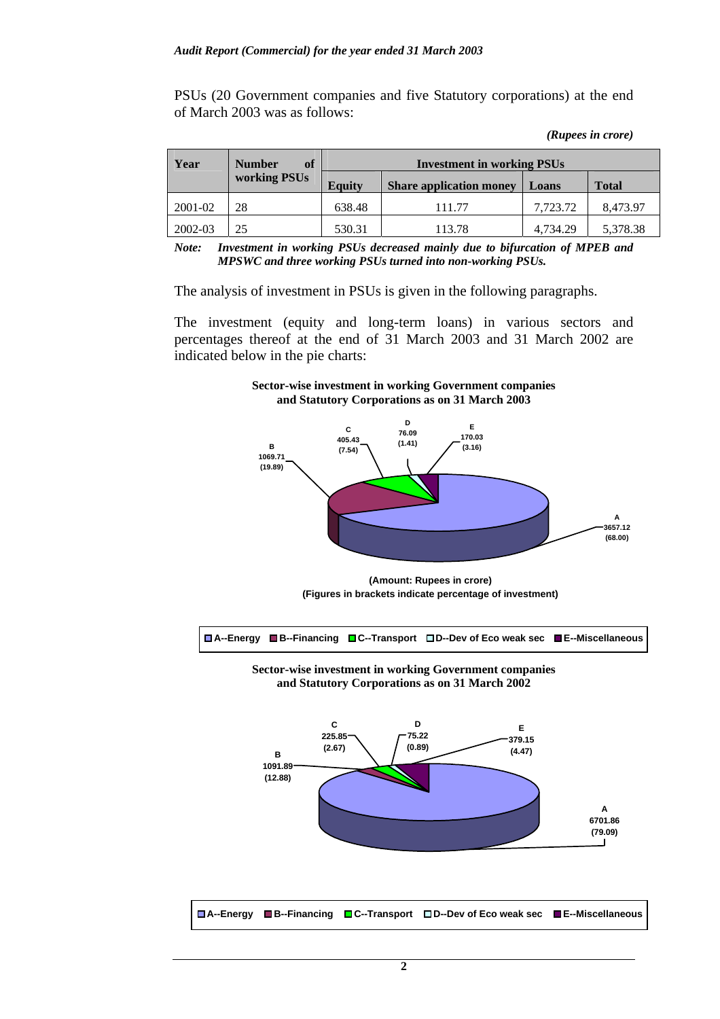PSUs (20 Government companies and five Statutory corporations) at the end of March 2003 was as follows:

| (Rupees in crore) |  |
|-------------------|--|
|                   |  |

| Year    | of<br><b>Number</b> | <b>Investment in working PSUs</b> |                                |          |              |  |
|---------|---------------------|-----------------------------------|--------------------------------|----------|--------------|--|
|         | working PSUs        | <b>Equity</b>                     | <b>Share application money</b> |          | <b>Total</b> |  |
| 2001-02 | 28                  | 638.48                            | 111.77                         | 7.723.72 | 8,473.97     |  |
| 2002-03 | 25                  | 530.31                            | 113.78                         | 4.734.29 | 5,378.38     |  |

*Note: Investment in working PSUs decreased mainly due to bifurcation of MPEB and MPSWC and three working PSUs turned into non-working PSUs.* 

The analysis of investment in PSUs is given in the following paragraphs.

The investment (equity and long-term loans) in various sectors and percentages thereof at the end of 31 March 2003 and 31 March 2002 are indicated below in the pie charts:



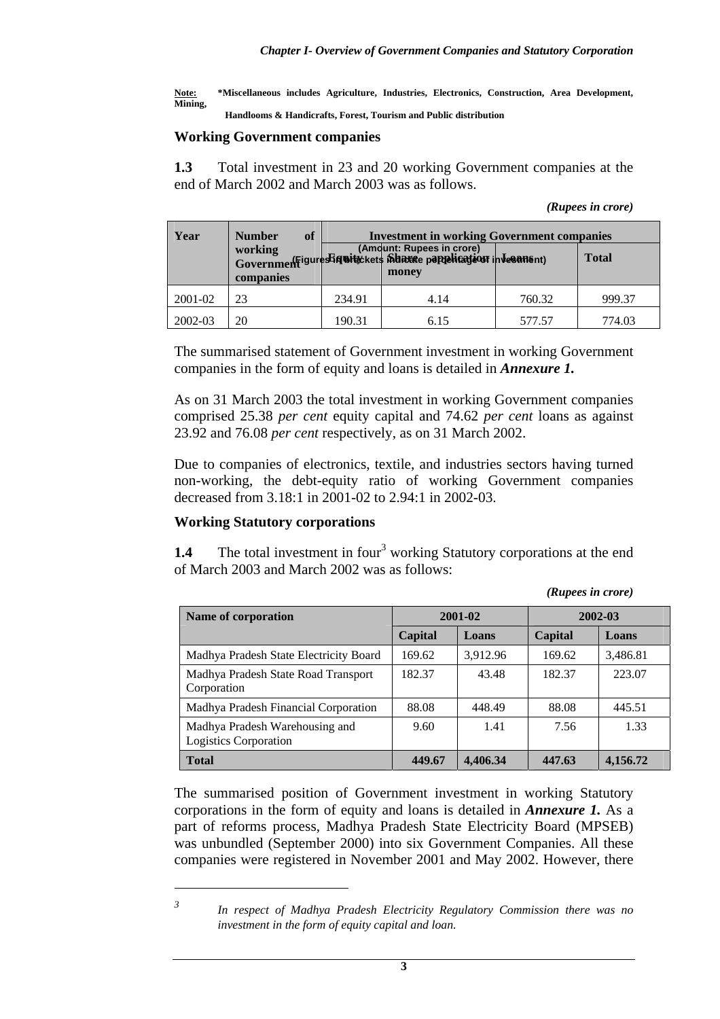**Note: \*Miscellaneous includes Agriculture, Industries, Electronics, Construction, Area Development, Mining,** 

 **Handlooms & Handicrafts, Forest, Tourism and Public distribution** 

#### **Working Government companies**

**1.3** Total investment in 23 and 20 working Government companies at the end of March 2002 and March 2003 was as follows.

*(Rupees in crore)* 

| Year    | of<br><b>Number</b> | <b>Investment in working Government companies</b> |                                                                                    |        |              |  |  |  |
|---------|---------------------|---------------------------------------------------|------------------------------------------------------------------------------------|--------|--------------|--|--|--|
|         | companies           |                                                   | working<br>Governmen figure Siquitickets in the papelication in Vesans nt<br>money |        | <b>Total</b> |  |  |  |
| 2001-02 | 23                  | 234.91                                            | 4.14                                                                               | 760.32 | 999.37       |  |  |  |
| 2002-03 | 20                  | 190.31                                            | 6.15                                                                               | 577.57 | 774.03       |  |  |  |

The summarised statement of Government investment in working Government companies in the form of equity and loans is detailed in *Annexure 1.* 

As on 31 March 2003 the total investment in working Government companies comprised 25.38 *per cent* equity capital and 74.62 *per cent* loans as against 23.92 and 76.08 *per cent* respectively, as on 31 March 2002.

Due to companies of electronics, textile, and industries sectors having turned non-working, the debt-equity ratio of working Government companies decreased from 3.18:1 in 2001-02 to 2.94:1 in 2002-03.

### **Working Statutory corporations**

**1.4** The total investment in four<sup>3</sup> working Statutory corporations at the end of March 2003 and March 2002 was as follows:

*(Rupees in crore)* 

| <b>Name of corporation</b>                                     |         | 2001-02  | 2002-03 |          |  |
|----------------------------------------------------------------|---------|----------|---------|----------|--|
|                                                                | Capital | Loans    | Capital | Loans    |  |
| Madhya Pradesh State Electricity Board                         | 169.62  | 3.912.96 | 169.62  | 3,486.81 |  |
| Madhya Pradesh State Road Transport<br>Corporation             | 182.37  | 43.48    | 182.37  | 223.07   |  |
| Madhya Pradesh Financial Corporation                           | 88.08   | 448.49   | 88.08   | 445.51   |  |
| Madhya Pradesh Warehousing and<br><b>Logistics Corporation</b> | 9.60    | 1.41     | 7.56    | 1.33     |  |
| <b>Total</b>                                                   | 449.67  | 4,406.34 | 447.63  | 4,156.72 |  |

The summarised position of Government investment in working Statutory corporations in the form of equity and loans is detailed in *Annexure 1.* As a part of reforms process, Madhya Pradesh State Electricity Board (MPSEB) was unbundled (September 2000) into six Government Companies. All these companies were registered in November 2001 and May 2002. However, there

 $\overline{a}$ *3*

*In respect of Madhya Pradesh Electricity Regulatory Commission there was no investment in the form of equity capital and loan.*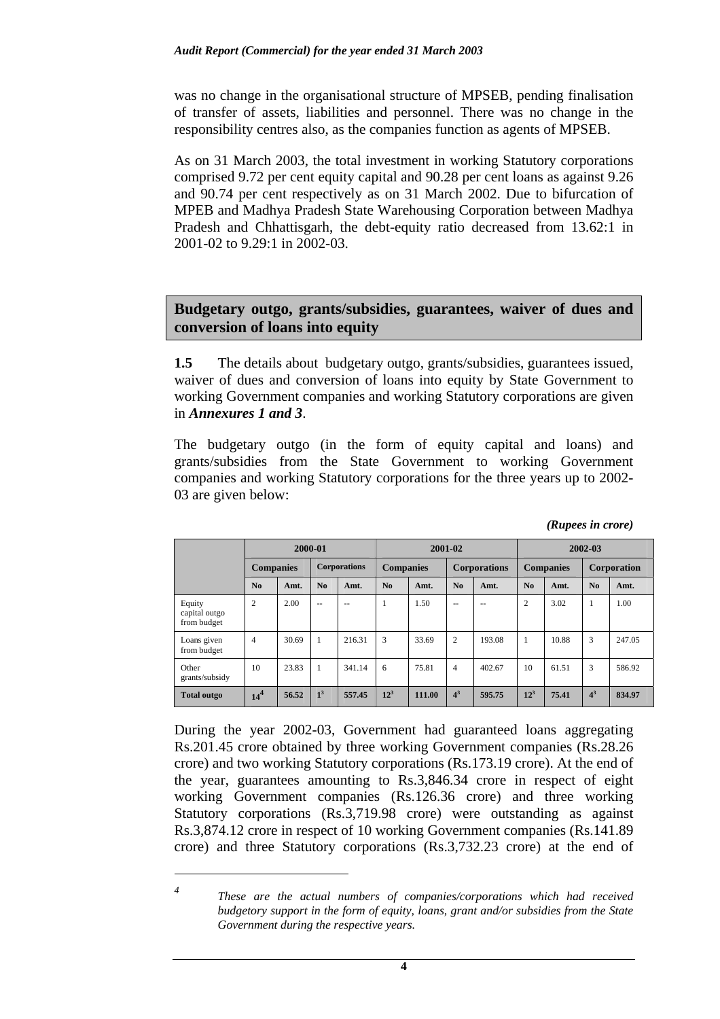was no change in the organisational structure of MPSEB, pending finalisation of transfer of assets, liabilities and personnel. There was no change in the responsibility centres also, as the companies function as agents of MPSEB.

As on 31 March 2003, the total investment in working Statutory corporations comprised 9.72 per cent equity capital and 90.28 per cent loans as against 9.26 and 90.74 per cent respectively as on 31 March 2002. Due to bifurcation of MPEB and Madhya Pradesh State Warehousing Corporation between Madhya Pradesh and Chhattisgarh, the debt-equity ratio decreased from 13.62:1 in 2001-02 to 9.29:1 in 2002-03.

### **Budgetary outgo, grants/subsidies, guarantees, waiver of dues and conversion of loans into equity**

**1.5** The details about budgetary outgo, grants/subsidies, guarantees issued, waiver of dues and conversion of loans into equity by State Government to working Government companies and working Statutory corporations are given in *Annexures 1 and 3*.

The budgetary outgo (in the form of equity capital and loans) and grants/subsidies from the State Government to working Government companies and working Statutory corporations for the three years up to 2002- 03 are given below:

|                                        | 2000-01          |       |                     | 2001-02 |                  |        | 2002-03        |                     |                 |                  |                |             |  |
|----------------------------------------|------------------|-------|---------------------|---------|------------------|--------|----------------|---------------------|-----------------|------------------|----------------|-------------|--|
|                                        | <b>Companies</b> |       | <b>Corporations</b> |         | <b>Companies</b> |        |                | <b>Corporations</b> |                 | <b>Companies</b> |                | Corporation |  |
|                                        | N <sub>0</sub>   | Amt.  | N <sub>0</sub>      | Amt.    | N <sub>0</sub>   | Amt.   | N <sub>0</sub> | Amt.                | N <sub>0</sub>  | Amt.             | No             | Amt.        |  |
| Equity<br>capital outgo<br>from budget | $\overline{2}$   | 2.00  | $\sim$ $\sim$       | $- -$   |                  | 1.50   | $- -$          | $- -$               | $\overline{c}$  | 3.02             | 1              | 1.00        |  |
| Loans given<br>from budget             | $\overline{4}$   | 30.69 | 1                   | 216.31  | 3                | 33.69  | 2              | 193.08              |                 | 10.88            | 3              | 247.05      |  |
| Other<br>grants/subsidy                | 10               | 23.83 | $\mathbf{1}$        | 341.14  | 6                | 75.81  | 4              | 402.67              | 10              | 61.51            | 3              | 586.92      |  |
| <b>Total outgo</b>                     | 14 <sup>4</sup>  | 56.52 | 1 <sup>3</sup>      | 557.45  | $12^3$           | 111.00 | 4 <sup>3</sup> | 595.75              | 12 <sup>3</sup> | 75.41            | 4 <sup>3</sup> | 834.97      |  |

*(Rupees in crore)* 

During the year 2002-03, Government had guaranteed loans aggregating Rs.201.45 crore obtained by three working Government companies (Rs.28.26 crore) and two working Statutory corporations (Rs.173.19 crore). At the end of the year, guarantees amounting to Rs.3,846.34 crore in respect of eight working Government companies (Rs.126.36 crore) and three working Statutory corporations (Rs.3,719.98 crore) were outstanding as against Rs.3,874.12 crore in respect of 10 working Government companies (Rs.141.89 crore) and three Statutory corporations (Rs.3,732.23 crore) at the end of

 $\overline{a}$ *4*

*These are the actual numbers of companies/corporations which had received budgetory support in the form of equity, loans, grant and/or subsidies from the State Government during the respective years.*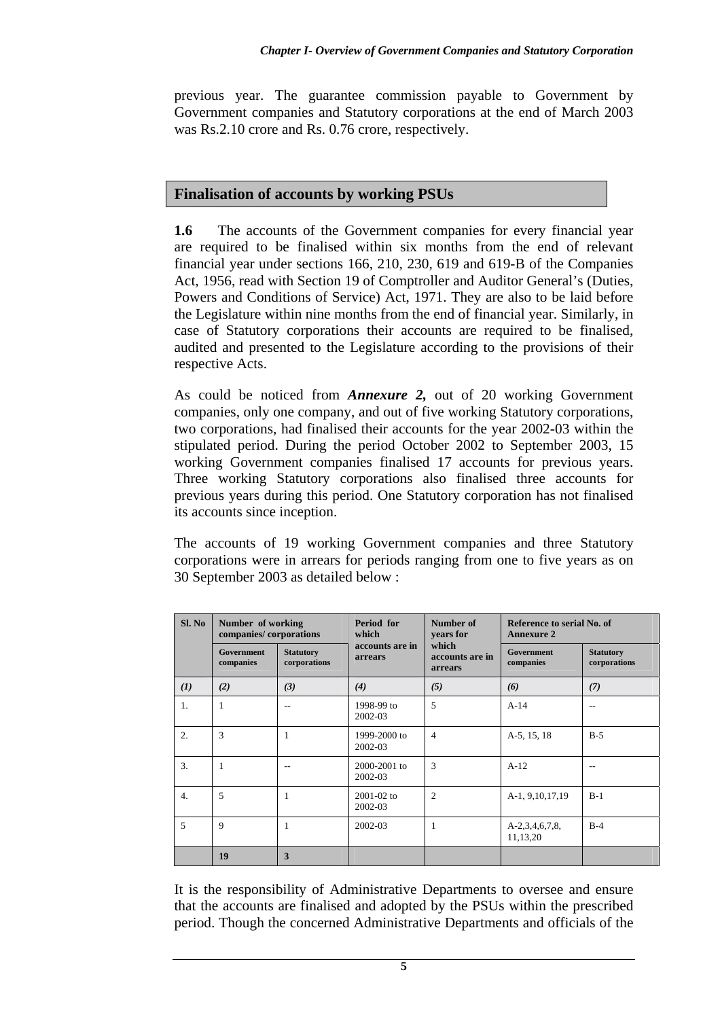previous year. The guarantee commission payable to Government by Government companies and Statutory corporations at the end of March 2003 was Rs.2.10 crore and Rs. 0.76 crore, respectively.

## **Finalisation of accounts by working PSUs**

**1.6** The accounts of the Government companies for every financial year are required to be finalised within six months from the end of relevant financial year under sections 166, 210, 230, 619 and 619-B of the Companies Act, 1956, read with Section 19 of Comptroller and Auditor General's (Duties, Powers and Conditions of Service) Act, 1971. They are also to be laid before the Legislature within nine months from the end of financial year. Similarly, in case of Statutory corporations their accounts are required to be finalised, audited and presented to the Legislature according to the provisions of their respective Acts.

As could be noticed from *Annexure 2,* out of 20 working Government companies, only one company, and out of five working Statutory corporations, two corporations, had finalised their accounts for the year 2002-03 within the stipulated period. During the period October 2002 to September 2003, 15 working Government companies finalised 17 accounts for previous years. Three working Statutory corporations also finalised three accounts for previous years during this period. One Statutory corporation has not finalised its accounts since inception.

The accounts of 19 working Government companies and three Statutory corporations were in arrears for periods ranging from one to five years as on 30 September 2003 as detailed below :

| Sl. No           | Number of working<br>companies/corporations |                                  | Period for<br>which               | Number of<br>vears for              | Reference to serial No. of<br><b>Annexure 2</b> |                                  |  |
|------------------|---------------------------------------------|----------------------------------|-----------------------------------|-------------------------------------|-------------------------------------------------|----------------------------------|--|
|                  | <b>Government</b><br>companies              | <b>Statutory</b><br>corporations | accounts are in<br><b>arrears</b> | which<br>accounts are in<br>arrears | <b>Government</b><br>companies                  | <b>Statutory</b><br>corporations |  |
| (I)              | (2)                                         | (3)                              | (4)                               | (5)                                 | (6)                                             | (7)                              |  |
| 1.               | 1                                           |                                  | 1998-99 to<br>2002-03             | 5                                   | $A-14$                                          | $\overline{a}$                   |  |
| 2.               | 3                                           |                                  | 1999-2000 to<br>2002-03           | $\overline{4}$                      | A-5, 15, 18                                     | $B-5$                            |  |
| 3.               | 1                                           |                                  | 2000-2001 to<br>2002-03           | 3                                   | $A-12$                                          | $\overline{a}$                   |  |
| $\overline{4}$ . | 5                                           |                                  | $2001 - 02$ to<br>2002-03         | $\overline{2}$                      | A-1, 9, 10, 17, 19                              | $B-1$                            |  |
| 5                | 9                                           | 1                                | 2002-03                           | 1                                   | $A-2,3,4,6,7,8$<br>11,13,20                     | $B-4$                            |  |
|                  | 19                                          | 3                                |                                   |                                     |                                                 |                                  |  |

It is the responsibility of Administrative Departments to oversee and ensure that the accounts are finalised and adopted by the PSUs within the prescribed period. Though the concerned Administrative Departments and officials of the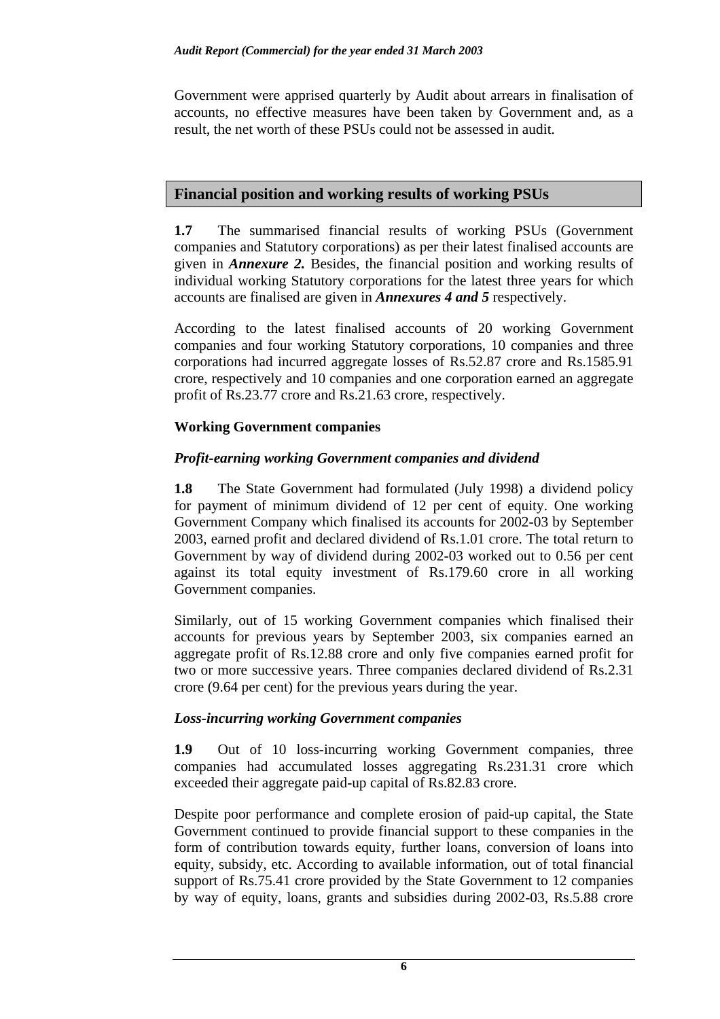Government were apprised quarterly by Audit about arrears in finalisation of accounts, no effective measures have been taken by Government and, as a result, the net worth of these PSUs could not be assessed in audit.

# **Financial position and working results of working PSUs**

**1.7** The summarised financial results of working PSUs (Government companies and Statutory corporations) as per their latest finalised accounts are given in *Annexure 2.* Besides, the financial position and working results of individual working Statutory corporations for the latest three years for which accounts are finalised are given in *Annexures 4 and 5* respectively.

According to the latest finalised accounts of 20 working Government companies and four working Statutory corporations, 10 companies and three corporations had incurred aggregate losses of Rs.52.87 crore and Rs.1585.91 crore, respectively and 10 companies and one corporation earned an aggregate profit of Rs.23.77 crore and Rs.21.63 crore, respectively.

### **Working Government companies**

### *Profit-earning working Government companies and dividend*

**1.8** The State Government had formulated (July 1998) a dividend policy for payment of minimum dividend of 12 per cent of equity. One working Government Company which finalised its accounts for 2002-03 by September 2003, earned profit and declared dividend of Rs.1.01 crore. The total return to Government by way of dividend during 2002-03 worked out to 0.56 per cent against its total equity investment of Rs.179.60 crore in all working Government companies.

Similarly, out of 15 working Government companies which finalised their accounts for previous years by September 2003, six companies earned an aggregate profit of Rs.12.88 crore and only five companies earned profit for two or more successive years. Three companies declared dividend of Rs.2.31 crore (9.64 per cent) for the previous years during the year.

### *Loss-incurring working Government companies*

**1.9** Out of 10 loss-incurring working Government companies, three companies had accumulated losses aggregating Rs.231.31 crore which exceeded their aggregate paid-up capital of Rs.82.83 crore.

Despite poor performance and complete erosion of paid-up capital, the State Government continued to provide financial support to these companies in the form of contribution towards equity, further loans, conversion of loans into equity, subsidy, etc. According to available information, out of total financial support of Rs.75.41 crore provided by the State Government to 12 companies by way of equity, loans, grants and subsidies during 2002-03, Rs.5.88 crore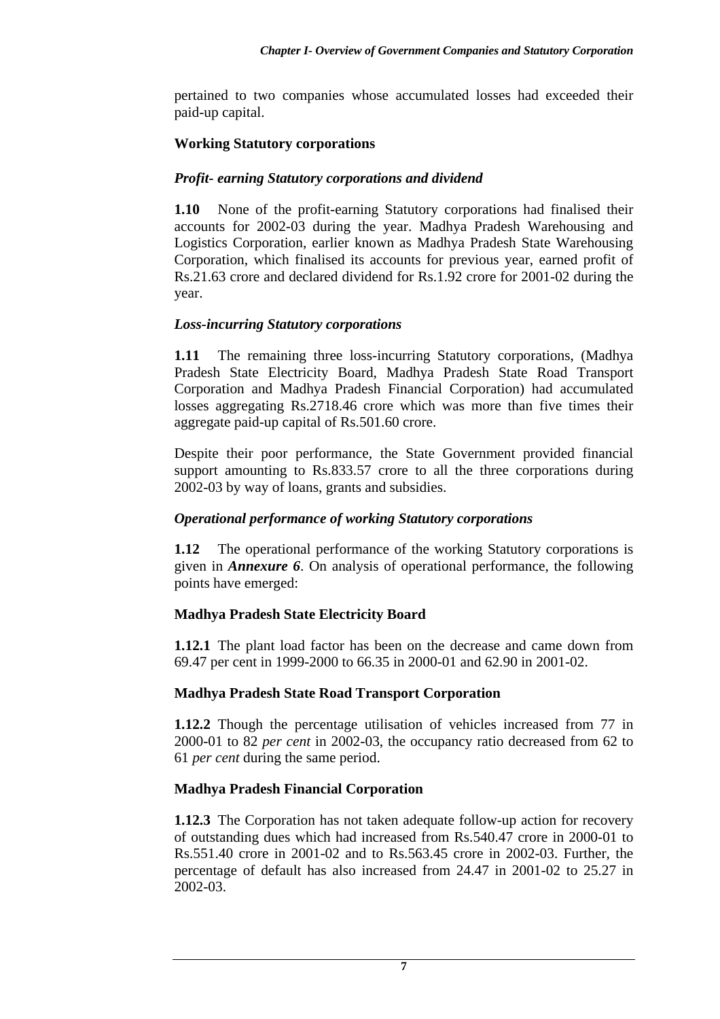pertained to two companies whose accumulated losses had exceeded their paid-up capital.

### **Working Statutory corporations**

### *Profit- earning Statutory corporations and dividend*

**1.10** None of the profit-earning Statutory corporations had finalised their accounts for 2002-03 during the year. Madhya Pradesh Warehousing and Logistics Corporation, earlier known as Madhya Pradesh State Warehousing Corporation, which finalised its accounts for previous year, earned profit of Rs.21.63 crore and declared dividend for Rs.1.92 crore for 2001-02 during the year.

### *Loss-incurring Statutory corporations*

**1.11** The remaining three loss-incurring Statutory corporations, (Madhya Pradesh State Electricity Board, Madhya Pradesh State Road Transport Corporation and Madhya Pradesh Financial Corporation) had accumulated losses aggregating Rs.2718.46 crore which was more than five times their aggregate paid-up capital of Rs.501.60 crore.

Despite their poor performance, the State Government provided financial support amounting to Rs.833.57 crore to all the three corporations during 2002-03 by way of loans, grants and subsidies.

### *Operational performance of working Statutory corporations*

**1.12** The operational performance of the working Statutory corporations is given in *Annexure 6*. On analysis of operational performance, the following points have emerged:

### **Madhya Pradesh State Electricity Board**

**1.12.1** The plant load factor has been on the decrease and came down from 69.47 per cent in 1999-2000 to 66.35 in 2000-01 and 62.90 in 2001-02.

### **Madhya Pradesh State Road Transport Corporation**

**1.12.2** Though the percentage utilisation of vehicles increased from 77 in 2000-01 to 82 *per cent* in 2002-03, the occupancy ratio decreased from 62 to 61 *per cent* during the same period.

### **Madhya Pradesh Financial Corporation**

**1.12.3** The Corporation has not taken adequate follow-up action for recovery of outstanding dues which had increased from Rs.540.47 crore in 2000-01 to Rs.551.40 crore in 2001-02 and to Rs.563.45 crore in 2002-03. Further, the percentage of default has also increased from 24.47 in 2001-02 to 25.27 in 2002-03.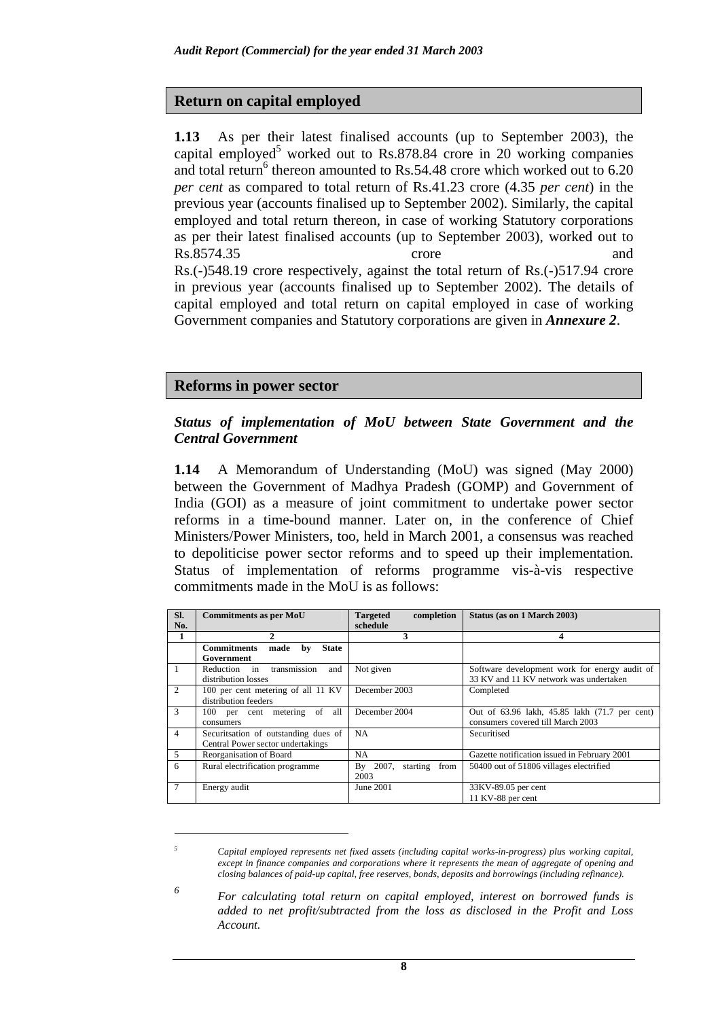### **Return on capital employed**

**1.13** As per their latest finalised accounts (up to September 2003), the capital employed<sup>5</sup> worked out to Rs.878.84 crore in 20 working companies and total return<sup>6</sup> thereon amounted to Rs.54.48 crore which worked out to 6.20 *per cent* as compared to total return of Rs.41.23 crore (4.35 *per cent*) in the previous year (accounts finalised up to September 2002). Similarly, the capital employed and total return thereon, in case of working Statutory corporations as per their latest finalised accounts (up to September 2003), worked out to Rs.8574.35 crore and Rs.(-)548.19 crore respectively, against the total return of Rs.(-)517.94 crore in previous year (accounts finalised up to September 2002). The details of capital employed and total return on capital employed in case of working Government companies and Statutory corporations are given in *Annexure 2*.

### **Reforms in power sector**

 $\overline{a}$ *5*

*6*

#### *Status of implementation of MoU between State Government and the Central Government*

**1.14** A Memorandum of Understanding (MoU) was signed (May 2000) between the Government of Madhya Pradesh (GOMP) and Government of India (GOI) as a measure of joint commitment to undertake power sector reforms in a time-bound manner. Later on, in the conference of Chief Ministers/Power Ministers, too, held in March 2001, a consensus was reached to depoliticise power sector reforms and to speed up their implementation. Status of implementation of reforms programme vis-à-vis respective commitments made in the MoU is as follows:

| SI.            | <b>Commitments as per MoU</b>                    | <b>Targeted</b><br>completion | Status (as on 1 March 2003)                   |  |
|----------------|--------------------------------------------------|-------------------------------|-----------------------------------------------|--|
| No.            |                                                  | schedule                      |                                               |  |
| 1              | 2                                                | 3                             | 4                                             |  |
|                | <b>Commitments</b><br>made<br><b>State</b><br>bv |                               |                                               |  |
|                | Government                                       |                               |                                               |  |
| -1             | transmission<br>Reduction in<br>and              | Not given                     | Software development work for energy audit of |  |
|                | distribution losses                              |                               | 33 KV and 11 KV network was undertaken        |  |
| $\mathfrak{D}$ | 100 per cent metering of all 11 KV               | December 2003                 | Completed                                     |  |
|                | distribution feeders                             |                               |                                               |  |
| 3              | 100 per cent metering of<br>all                  | December 2004                 | Out of 63.96 lakh, 45.85 lakh (71.7 per cent) |  |
|                | consumers                                        |                               | consumers covered till March 2003             |  |
| $\overline{4}$ | Securitsation of outstanding dues of             | NA                            | Securitised                                   |  |
|                | Central Power sector undertakings                |                               |                                               |  |
| 5              | Reorganisation of Board                          | NA.                           | Gazette notification issued in February 2001  |  |
| 6              | Rural electrification programme                  | By 2007, starting from        | 50400 out of 51806 villages electrified       |  |
|                |                                                  | 2003                          |                                               |  |
| 7              | Energy audit                                     | June 2001                     | 33KV-89.05 per cent                           |  |
|                |                                                  |                               | 11 KV-88 per cent                             |  |

 *Capital employed represents net fixed assets (including capital works-in-progress) plus working capital, except in finance companies and corporations where it represents the mean of aggregate of opening and closing balances of paid-up capital, free reserves, bonds, deposits and borrowings (including refinance).* 

 *For calculating total return on capital employed, interest on borrowed funds is added to net profit/subtracted from the loss as disclosed in the Profit and Loss Account.* 

**8**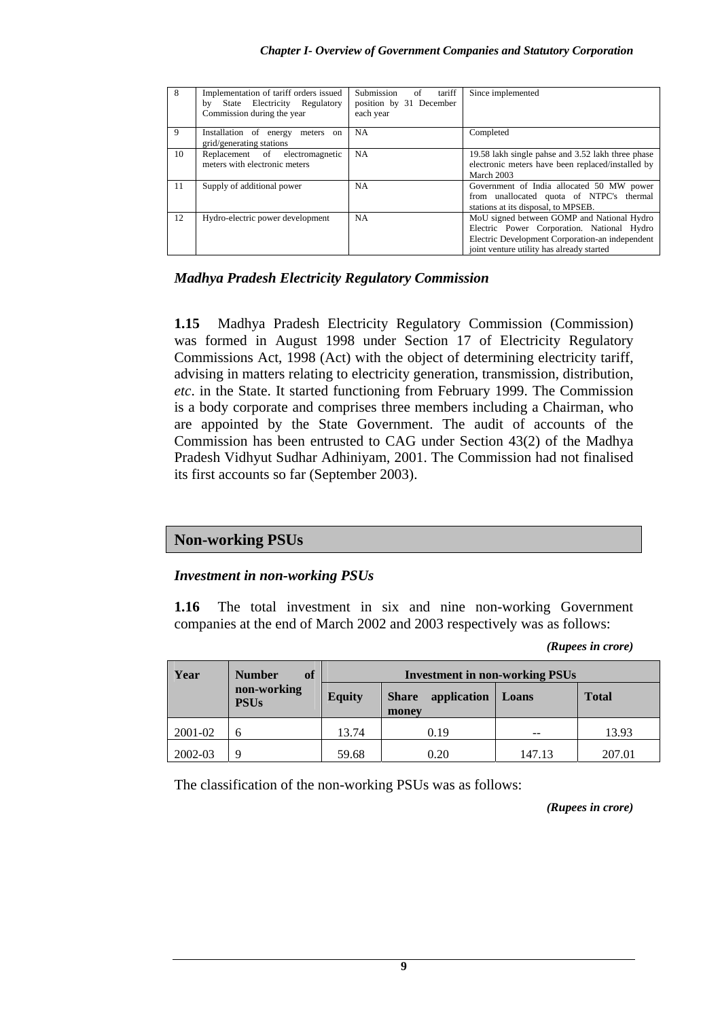| 8 <sup>2</sup> | Implementation of tariff orders issued<br>State Electricity Regulatory<br>bv<br>Commission during the year | Submission<br>of<br>tariff<br>position by 31 December<br>each year | Since implemented                                                                                                                                                                        |
|----------------|------------------------------------------------------------------------------------------------------------|--------------------------------------------------------------------|------------------------------------------------------------------------------------------------------------------------------------------------------------------------------------------|
| $\mathbf{Q}$   | Installation of energy<br>meters on<br>grid/generating stations                                            | NA                                                                 | Completed                                                                                                                                                                                |
| 10             | Replacement of electromagnetic<br>meters with electronic meters                                            | NA.                                                                | 19.58 lakh single pahse and 3.52 lakh three phase<br>electronic meters have been replaced/installed by<br>March 2003                                                                     |
| 11             | Supply of additional power                                                                                 | NA.                                                                | Government of India allocated 50 MW power<br>from unallocated quota of NTPC's thermal<br>stations at its disposal, to MPSEB.                                                             |
| 12             | Hydro-electric power development                                                                           | NA.                                                                | MoU signed between GOMP and National Hydro<br>Electric Power Corporation. National Hydro<br>Electric Development Corporation-an independent<br>joint venture utility has already started |

### *Madhya Pradesh Electricity Regulatory Commission*

**1.15** Madhya Pradesh Electricity Regulatory Commission (Commission) was formed in August 1998 under Section 17 of Electricity Regulatory Commissions Act, 1998 (Act) with the object of determining electricity tariff, advising in matters relating to electricity generation, transmission, distribution, *etc*. in the State. It started functioning from February 1999. The Commission is a body corporate and comprises three members including a Chairman, who are appointed by the State Government. The audit of accounts of the Commission has been entrusted to CAG under Section 43(2) of the Madhya Pradesh Vidhyut Sudhar Adhiniyam, 2001. The Commission had not finalised its first accounts so far (September 2003).

### **Non-working PSUs**

### *Investment in non-working PSUs*

**1.16** The total investment in six and nine non-working Government companies at the end of March 2002 and 2003 respectively was as follows:

*(Rupees in crore)* 

| Year    | <b>Number</b><br>of        | <b>Investment in non-working PSUs</b> |                                      |        |              |  |
|---------|----------------------------|---------------------------------------|--------------------------------------|--------|--------------|--|
|         | non-working<br><b>PSUs</b> | <b>Equity</b>                         | application<br><b>Share</b><br>money | Loans  | <b>Total</b> |  |
| 2001-02 |                            | 13.74                                 | 0.19                                 | --     | 13.93        |  |
| 2002-03 | 9                          | 59.68                                 | 0.20                                 | 147.13 | 207.01       |  |

The classification of the non-working PSUs was as follows:

*(Rupees in crore)*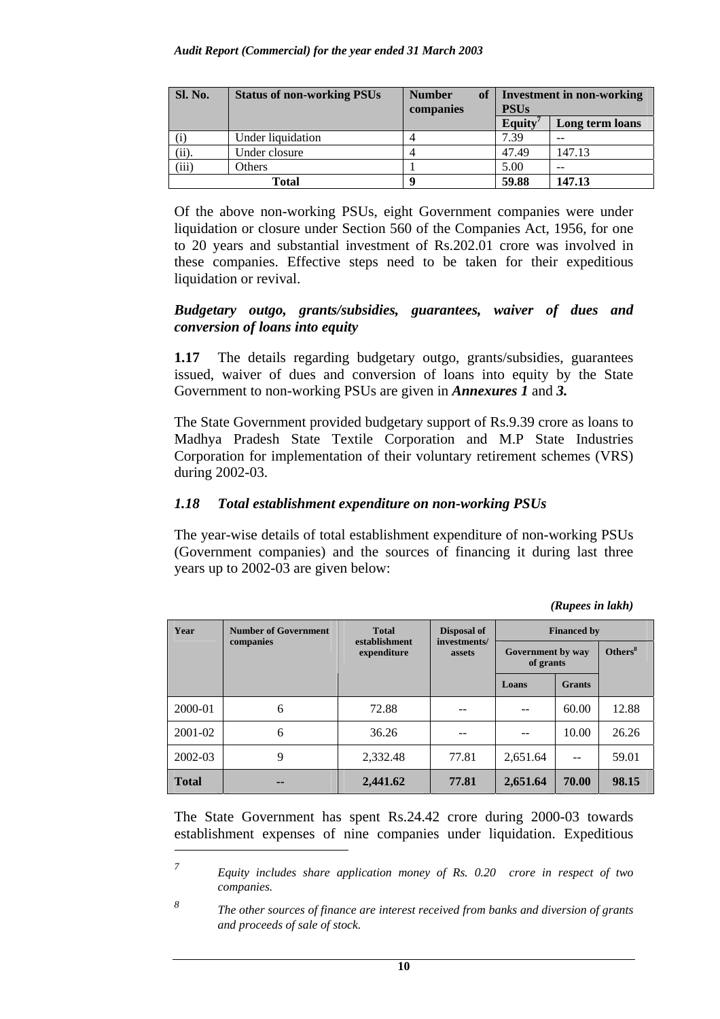| <b>Sl. No.</b>    | <b>Status of non-working PSUs</b> | of<br><b>Number</b><br>companies | Investment in non-working<br><b>PSUs</b> |                 |  |
|-------------------|-----------------------------------|----------------------------------|------------------------------------------|-----------------|--|
|                   |                                   |                                  | Equity                                   | Long term loans |  |
| $\left( 1\right)$ | Under liquidation                 |                                  | 7.39                                     |                 |  |
| (ii).             | Under closure                     |                                  | 47.49                                    | 147.13          |  |
| (iii)             | Others                            |                                  | 5.00                                     | --              |  |
|                   | Total                             |                                  | 59.88                                    | 147.13          |  |

Of the above non-working PSUs, eight Government companies were under liquidation or closure under Section 560 of the Companies Act, 1956, for one to 20 years and substantial investment of Rs.202.01 crore was involved in these companies. Effective steps need to be taken for their expeditious liquidation or revival.

#### *Budgetary outgo, grants/subsidies, guarantees, waiver of dues and conversion of loans into equity*

**1.17** The details regarding budgetary outgo, grants/subsidies, guarantees issued, waiver of dues and conversion of loans into equity by the State Government to non-working PSUs are given in *Annexures 1* and *3.* 

The State Government provided budgetary support of Rs.9.39 crore as loans to Madhya Pradesh State Textile Corporation and M.P State Industries Corporation for implementation of their voluntary retirement schemes (VRS) during 2002-03.

### *1.18 Total establishment expenditure on non-working PSUs*

The year-wise details of total establishment expenditure of non-working PSUs (Government companies) and the sources of financing it during last three years up to 2002-03 are given below:

 *(Rupees in lakh)* 

| Year         | <b>Number of Government</b> | <b>Total</b>                 | Disposal of<br>investments/ | <b>Financed by</b>             |               |                     |  |
|--------------|-----------------------------|------------------------------|-----------------------------|--------------------------------|---------------|---------------------|--|
|              | companies                   | establishment<br>expenditure | assets                      | Government by way<br>of grants |               | Others <sup>8</sup> |  |
|              |                             |                              |                             | Loans                          | <b>Grants</b> |                     |  |
| 2000-01      | 6                           | 72.88                        |                             |                                | 60.00         | 12.88               |  |
| 2001-02      | 6                           | 36.26                        | --                          |                                | 10.00         | 26.26               |  |
| 2002-03      | 9                           | 2,332.48                     | 77.81                       | 2,651.64                       | --            | 59.01               |  |
| <b>Total</b> | --                          | 2,441.62                     | 77.81                       | 2,651.64                       | 70.00         | 98.15               |  |

The State Government has spent Rs.24.42 crore during 2000-03 towards establishment expenses of nine companies under liquidation. Expeditious

 $\overline{a}$ 

*<sup>7</sup> Equity includes share application money of Rs. 0.20 crore in respect of two companies.* 

*<sup>8</sup> The other sources of finance are interest received from banks and diversion of grants and proceeds of sale of stock.*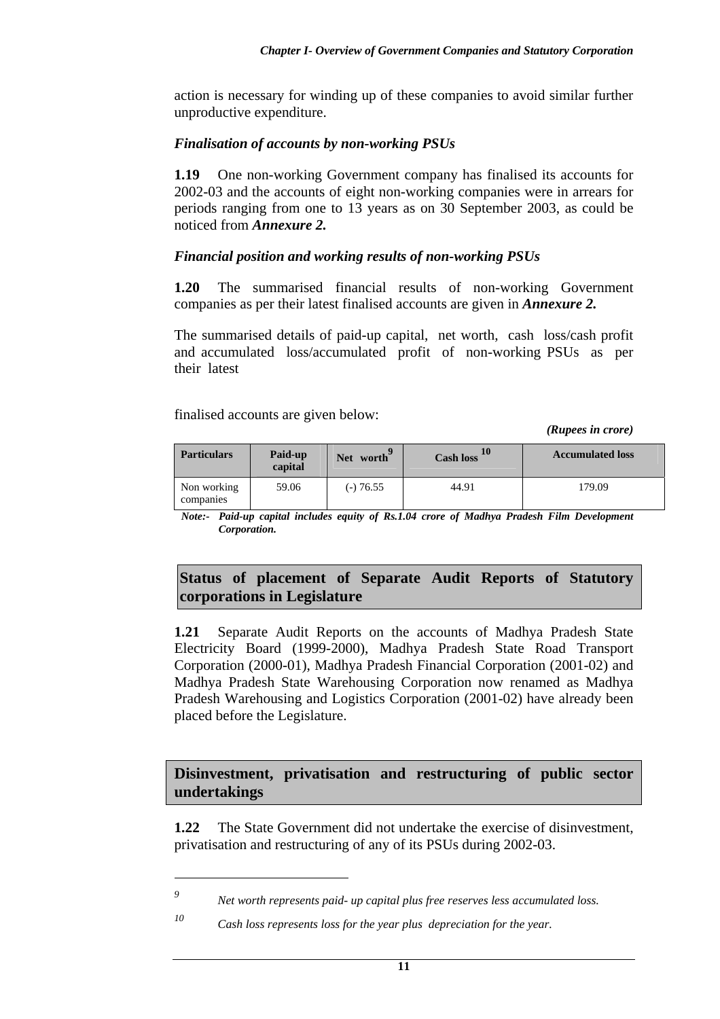action is necessary for winding up of these companies to avoid similar further unproductive expenditure.

### *Finalisation of accounts by non-working PSUs*

**1.19** One non-working Government company has finalised its accounts for 2002-03 and the accounts of eight non-working companies were in arrears for periods ranging from one to 13 years as on 30 September 2003, as could be noticed from *Annexure 2.* 

### *Financial position and working results of non-working PSUs*

**1.20** The summarised financial results of non-working Government companies as per their latest finalised accounts are given in *Annexure 2.*

The summarised details of paid-up capital, net worth, cash loss/cash profit and accumulated loss/accumulated profit of non-working PSUs as per their latest

finalised accounts are given below:

*(Rupees in crore)* 

| <b>Particulars</b>       | Paid-up<br>capital | Net worth | <b>Cash loss</b> | <b>Accumulated loss</b> |
|--------------------------|--------------------|-----------|------------------|-------------------------|
| Non working<br>companies | 59.06              | (-) 76.55 | 44.91            | 179.09                  |

*Note:- Paid-up capital includes equity of Rs.1.04 crore of Madhya Pradesh Film Development Corporation.* 

## **Status of placement of Separate Audit Reports of Statutory corporations in Legislature**

**1.21** Separate Audit Reports on the accounts of Madhya Pradesh State Electricity Board (1999-2000), Madhya Pradesh State Road Transport Corporation (2000-01), Madhya Pradesh Financial Corporation (2001-02) and Madhya Pradesh State Warehousing Corporation now renamed as Madhya Pradesh Warehousing and Logistics Corporation (2001-02) have already been placed before the Legislature.

## **Disinvestment, privatisation and restructuring of public sector undertakings**

**1.22** The State Government did not undertake the exercise of disinvestment, privatisation and restructuring of any of its PSUs during 2002-03.

 $\overline{a}$ *9*

*Net worth represents paid- up capital plus free reserves less accumulated loss.* 

*<sup>10</sup> Cash loss represents loss for the year plus depreciation for the year.*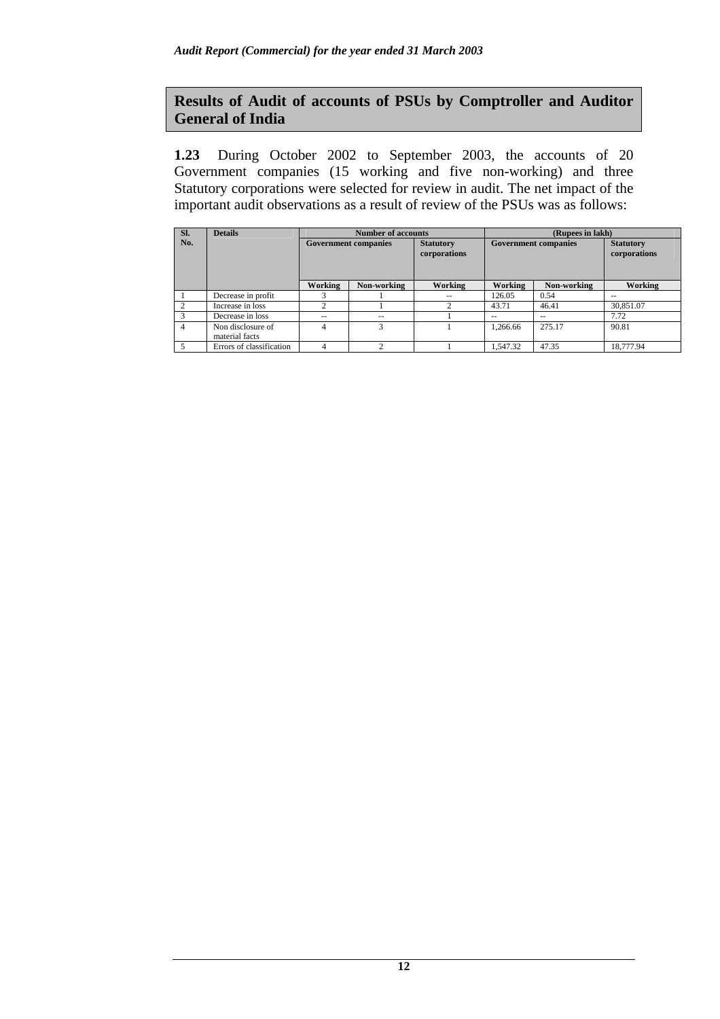# **Results of Audit of accounts of PSUs by Comptroller and Auditor General of India**

**1.23** During October 2002 to September 2003, the accounts of 20 Government companies (15 working and five non-working) and three Statutory corporations were selected for review in audit. The net impact of the important audit observations as a result of review of the PSUs was as follows:

| SI. | <b>Details</b>           | <b>Number of accounts</b> |                             |                                  | (Rupees in lakh)            |               |                                  |
|-----|--------------------------|---------------------------|-----------------------------|----------------------------------|-----------------------------|---------------|----------------------------------|
| No. |                          |                           | <b>Government companies</b> | <b>Statutory</b><br>corporations | <b>Government companies</b> |               | <b>Statutory</b><br>corporations |
|     |                          | Working                   | Non-working                 | Working                          | Working                     | Non-working   | Working                          |
|     | Decrease in profit       |                           |                             | $- -$                            | 126.05                      | 0.54          | $- -$                            |
|     | Increase in loss         | 2                         |                             | $\gamma$                         | 43.71                       | 46.41         | 30.851.07                        |
|     | Decrease in loss         | $- -$                     | $- -$                       |                                  | $- -$                       | $\sim$ $\sim$ | 7.72                             |
| 4   | Non disclosure of        | 4                         | 3                           |                                  | 1.266.66                    | 275.17        | 90.81                            |
|     | material facts           |                           |                             |                                  |                             |               |                                  |
|     | Errors of classification | 4                         | $\bigcirc$                  |                                  | 1.547.32                    | 47.35         | 18,777.94                        |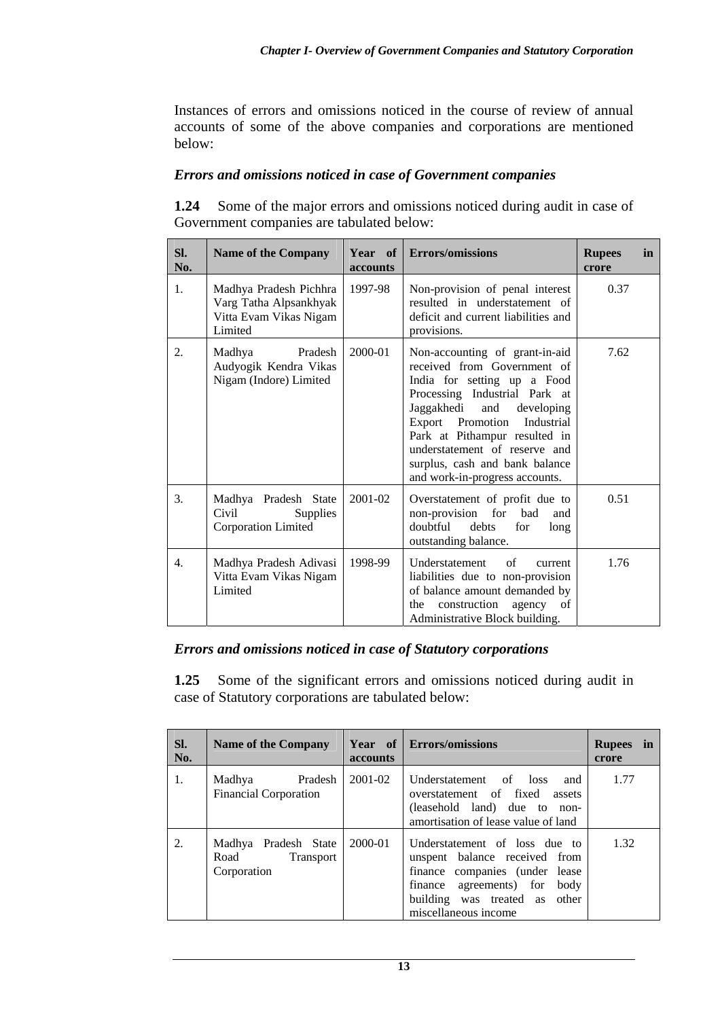Instances of errors and omissions noticed in the course of review of annual accounts of some of the above companies and corporations are mentioned below:

### *Errors and omissions noticed in case of Government companies*

**1.24** Some of the major errors and omissions noticed during audit in case of Government companies are tabulated below:

| Sl.<br>No. | <b>Name of the Company</b>                                                            | Year of<br><b>accounts</b> | <b>Errors/omissions</b>                                                                                                                                                                                                                                                                                                                  | <b>Rupees</b><br>crore | in |
|------------|---------------------------------------------------------------------------------------|----------------------------|------------------------------------------------------------------------------------------------------------------------------------------------------------------------------------------------------------------------------------------------------------------------------------------------------------------------------------------|------------------------|----|
| 1.         | Madhya Pradesh Pichhra<br>Varg Tatha Alpsankhyak<br>Vitta Evam Vikas Nigam<br>Limited | 1997-98                    | Non-provision of penal interest<br>resulted in understatement of<br>deficit and current liabilities and<br>provisions.                                                                                                                                                                                                                   | 0.37                   |    |
| 2.         | Madhya<br>Pradesh<br>Audyogik Kendra Vikas<br>Nigam (Indore) Limited                  | 2000-01                    | Non-accounting of grant-in-aid<br>received from Government of<br>India for setting up a Food<br>Processing Industrial Park at<br>Jaggakhedi<br>and<br>developing<br>Export Promotion<br>Industrial<br>Park at Pithampur resulted in<br>understatement of reserve and<br>surplus, cash and bank balance<br>and work-in-progress accounts. | 7.62                   |    |
| 3.         | Madhya Pradesh State<br>Civil<br><b>Supplies</b><br><b>Corporation Limited</b>        | 2001-02                    | Overstatement of profit due to<br>non-provision for<br>bad<br>and<br>doubtful<br>debts<br>for<br>long<br>outstanding balance.                                                                                                                                                                                                            | 0.51                   |    |
| 4.         | Madhya Pradesh Adivasi<br>Vitta Evam Vikas Nigam<br>Limited                           | 1998-99                    | Understatement<br>of<br>current<br>liabilities due to non-provision<br>of balance amount demanded by<br>construction agency of<br>the<br>Administrative Block building.                                                                                                                                                                  | 1.76                   |    |

### *Errors and omissions noticed in case of Statutory corporations*

**1.25** Some of the significant errors and omissions noticed during audit in case of Statutory corporations are tabulated below:

| SI.<br>No. | <b>Name of the Company</b>                                      | accounts | Year of Errors/omissions                                                                                                                                                                  | <b>Rupees</b><br>in<br>crore |
|------------|-----------------------------------------------------------------|----------|-------------------------------------------------------------------------------------------------------------------------------------------------------------------------------------------|------------------------------|
| 1.         | Pradesh<br>Madhya<br><b>Financial Corporation</b>               | 2001-02  | Understatement of loss<br>and<br>overstatement of fixed<br>assets<br>(leasehold land) due to non-<br>amortisation of lease value of land                                                  | 1.77                         |
| 2.         | Madhya Pradesh State<br>Road<br><b>Transport</b><br>Corporation | 2000-01  | Understatement of loss due to<br>unspent balance received from<br>finance companies (under lease<br>finance agreements) for body<br>building was treated as other<br>miscellaneous income | 1.32                         |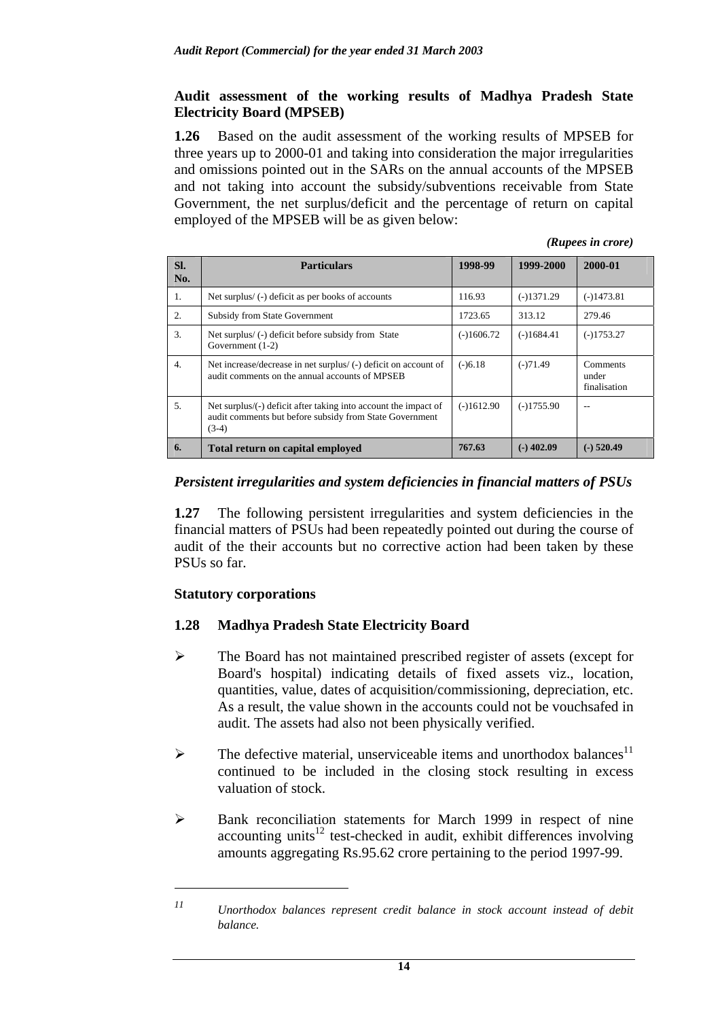### **Audit assessment of the working results of Madhya Pradesh State Electricity Board (MPSEB)**

**1.26** Based on the audit assessment of the working results of MPSEB for three years up to 2000-01 and taking into consideration the major irregularities and omissions pointed out in the SARs on the annual accounts of the MPSEB and not taking into account the subsidy/subventions receivable from State Government, the net surplus/deficit and the percentage of return on capital employed of the MPSEB will be as given below:

|  | (Rupees in crore) |  |  |
|--|-------------------|--|--|
|--|-------------------|--|--|

| SI.<br>No.       | <b>Particulars</b>                                                                                                                    | 1998-99      | 1999-2000    | 2000-01                           |
|------------------|---------------------------------------------------------------------------------------------------------------------------------------|--------------|--------------|-----------------------------------|
| 1.               | Net surplus/(-) deficit as per books of accounts                                                                                      | 116.93       | $(-)1371.29$ | $(-)1473.81$                      |
| 2.               | <b>Subsidy from State Government</b>                                                                                                  | 1723.65      | 313.12       | 279.46                            |
| 3.               | Net surplus/(-) deficit before subsidy from State<br>Government $(1-2)$                                                               | $(-1606.72)$ | $(-)1684.41$ | $(-)1753.27$                      |
| $\overline{4}$ . | Net increase/decrease in net surplus/ (-) deficit on account of<br>audit comments on the annual accounts of MPSEB                     | $(-)6.18$    | $(-)71.49$   | Comments<br>under<br>finalisation |
| 5.               | Net surplus/(-) deficit after taking into account the impact of<br>audit comments but before subsidy from State Government<br>$(3-4)$ | $(-)1612.90$ | $(-)1755.90$ |                                   |
| 6.               | Total return on capital employed                                                                                                      | 767.63       | $(-)$ 402.09 | (-) 520.49                        |

### *Persistent irregularities and system deficiencies in financial matters of PSUs*

**1.27** The following persistent irregularities and system deficiencies in the financial matters of PSUs had been repeatedly pointed out during the course of audit of the their accounts but no corrective action had been taken by these PSUs so far.

### **Statutory corporations**

 $\overline{a}$ 

### **1.28 Madhya Pradesh State Electricity Board**

- $\triangleright$  The Board has not maintained prescribed register of assets (except for Board's hospital) indicating details of fixed assets viz., location, quantities, value, dates of acquisition/commissioning, depreciation, etc. As a result, the value shown in the accounts could not be vouchsafed in audit. The assets had also not been physically verified.
- $\triangleright$  The defective material, unserviceable items and unorthodox balances<sup>11</sup> continued to be included in the closing stock resulting in excess valuation of stock.
- $\triangleright$  Bank reconciliation statements for March 1999 in respect of nine accounting units<sup>12</sup> test-checked in audit, exhibit differences involving amounts aggregating Rs.95.62 crore pertaining to the period 1997-99.

*<sup>11</sup> Unorthodox balances represent credit balance in stock account instead of debit balance.*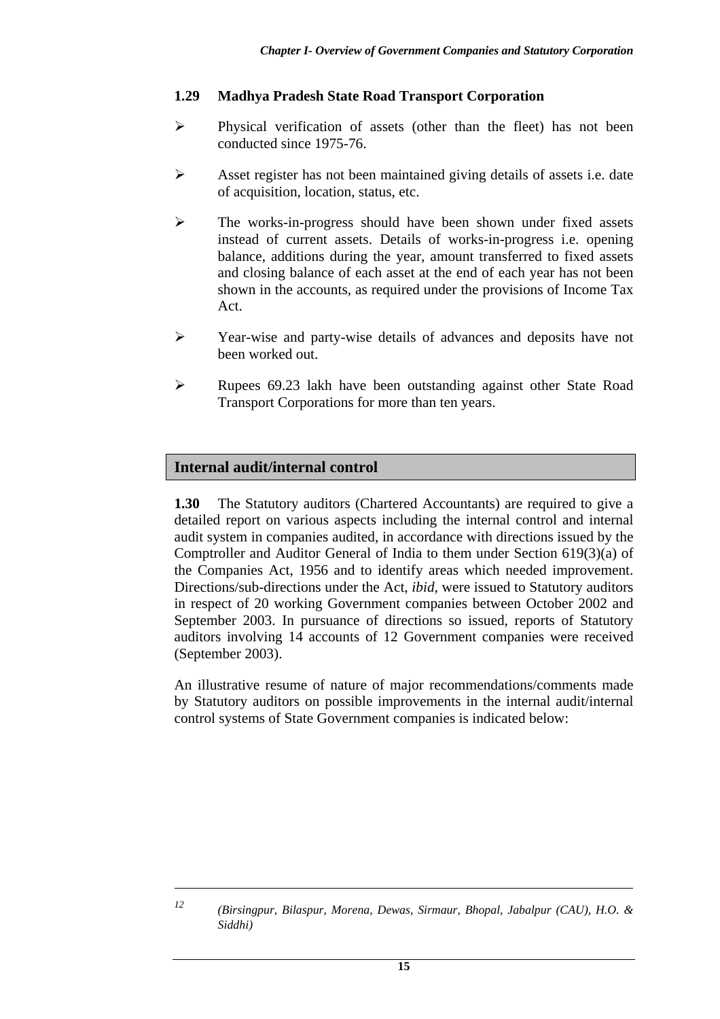### **1.29 Madhya Pradesh State Road Transport Corporation**

- $\triangleright$  Physical verification of assets (other than the fleet) has not been conducted since 1975-76.
- $\triangleright$  Asset register has not been maintained giving details of assets i.e. date of acquisition, location, status, etc.
- $\triangleright$  The works-in-progress should have been shown under fixed assets instead of current assets. Details of works-in-progress i.e. opening balance, additions during the year, amount transferred to fixed assets and closing balance of each asset at the end of each year has not been shown in the accounts, as required under the provisions of Income Tax Act.
- ! Year-wise and party-wise details of advances and deposits have not been worked out.
- ! Rupees 69.23 lakh have been outstanding against other State Road Transport Corporations for more than ten years.

# **Internal audit/internal control**

**1.30** The Statutory auditors (Chartered Accountants) are required to give a detailed report on various aspects including the internal control and internal audit system in companies audited, in accordance with directions issued by the Comptroller and Auditor General of India to them under Section 619(3)(a) of the Companies Act, 1956 and to identify areas which needed improvement. Directions/sub-directions under the Act, *ibid*, were issued to Statutory auditors in respect of 20 working Government companies between October 2002 and September 2003. In pursuance of directions so issued, reports of Statutory auditors involving 14 accounts of 12 Government companies were received (September 2003).

An illustrative resume of nature of major recommendations/comments made by Statutory auditors on possible improvements in the internal audit/internal control systems of State Government companies is indicated below:

 $\overline{a}$ 

*<sup>12 (</sup>Birsingpur, Bilaspur, Morena, Dewas, Sirmaur, Bhopal, Jabalpur (CAU), H.O. & Siddhi)*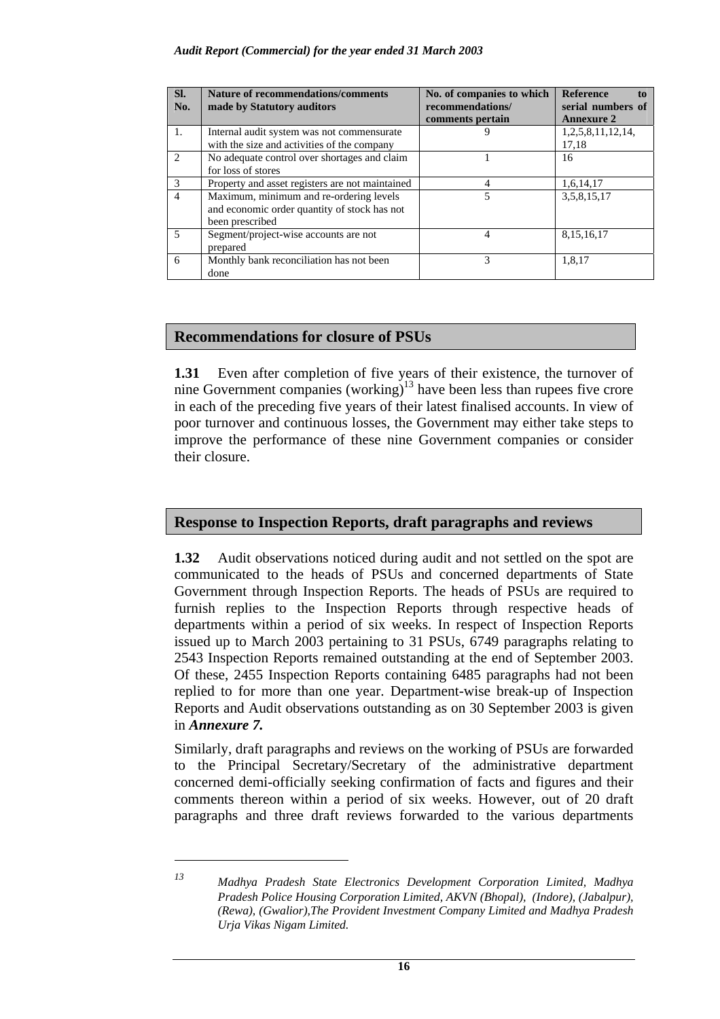#### *Audit Report (Commercial) for the year ended 31 March 2003*

| SI.<br>No.               | <b>Nature of recommendations/comments</b><br>made by Statutory auditors | No. of companies to which<br>recommendations/<br>comments pertain | <b>Reference</b><br>tο<br>serial numbers of<br><b>Annexure 2</b> |
|--------------------------|-------------------------------------------------------------------------|-------------------------------------------------------------------|------------------------------------------------------------------|
| 1.                       | Internal audit system was not commensurate                              |                                                                   | 1,2,5,8,11,12,14,                                                |
|                          | with the size and activities of the company                             |                                                                   | 17,18                                                            |
| $\mathfrak{D}$           | No adequate control over shortages and claim                            |                                                                   | 16                                                               |
|                          | for loss of stores                                                      |                                                                   |                                                                  |
| $\mathcal{R}$            | Property and asset registers are not maintained                         |                                                                   | 1,6,14,17                                                        |
| $\overline{4}$           | Maximum, minimum and re-ordering levels                                 |                                                                   | 3,5,8,15,17                                                      |
|                          | and economic order quantity of stock has not                            |                                                                   |                                                                  |
|                          | been prescribed                                                         |                                                                   |                                                                  |
| $\overline{\phantom{0}}$ | Segment/project-wise accounts are not                                   | $\overline{4}$                                                    | 8,15,16,17                                                       |
|                          | prepared                                                                |                                                                   |                                                                  |
| 6                        | Monthly bank reconciliation has not been                                | 3                                                                 | 1,8,17                                                           |
|                          | done                                                                    |                                                                   |                                                                  |

#### **Recommendations for closure of PSUs**

**1.31** Even after completion of five years of their existence, the turnover of nine Government companies (working)<sup>13</sup> have been less than rupees five crore in each of the preceding five years of their latest finalised accounts. In view of poor turnover and continuous losses, the Government may either take steps to improve the performance of these nine Government companies or consider their closure.

### **Response to Inspection Reports, draft paragraphs and reviews**

**1.32** Audit observations noticed during audit and not settled on the spot are communicated to the heads of PSUs and concerned departments of State Government through Inspection Reports. The heads of PSUs are required to furnish replies to the Inspection Reports through respective heads of departments within a period of six weeks. In respect of Inspection Reports issued up to March 2003 pertaining to 31 PSUs, 6749 paragraphs relating to 2543 Inspection Reports remained outstanding at the end of September 2003. Of these, 2455 Inspection Reports containing 6485 paragraphs had not been replied to for more than one year. Department-wise break-up of Inspection Reports and Audit observations outstanding as on 30 September 2003 is given in *Annexure 7.*

Similarly, draft paragraphs and reviews on the working of PSUs are forwarded to the Principal Secretary/Secretary of the administrative department concerned demi-officially seeking confirmation of facts and figures and their comments thereon within a period of six weeks. However, out of 20 draft paragraphs and three draft reviews forwarded to the various departments

 $\overline{a}$ 

*<sup>13</sup> Madhya Pradesh State Electronics Development Corporation Limited, Madhya Pradesh Police Housing Corporation Limited, AKVN (Bhopal), (Indore), (Jabalpur), (Rewa), (Gwalior),The Provident Investment Company Limited and Madhya Pradesh Urja Vikas Nigam Limited.*